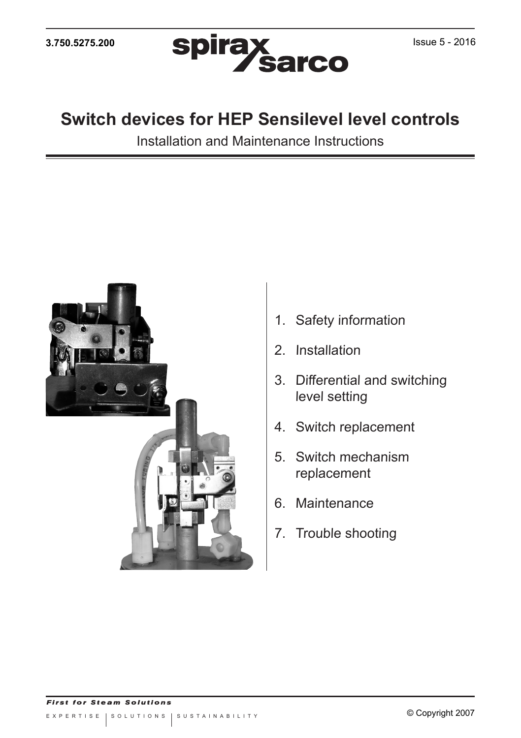

# **Switch devices for HEP Sensilevel level controls**

Installation and Maintenance Instructions



- 1. Safety information
- 2. Installation
- 3. Differential and switching level setting
- 4. Switch replacement
- 5. Switch mechanism replacement
- 6. Maintenance
- 7. Trouble shooting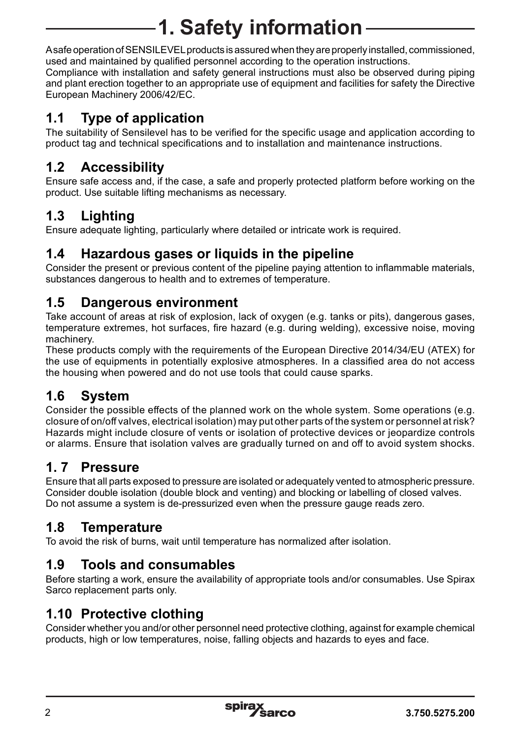# **1. Safety information**

Asafe operation of SENSILEVEL products is assured when they are properly installed, commissioned, used and maintained by qualified personnel according to the operation instructions. Compliance with installation and safety general instructions must also be observed during piping and plant erection together to an appropriate use of equipment and facilities for safety the Directive European Machinery 2006/42/EC.

# **1.1 Type of application**

The suitability of Sensilevel has to be verified for the specific usage and application according to product tag and technical specifications and to installation and maintenance instructions.

# **1.2 Accessibility**

Ensure safe access and, if the case, a safe and properly protected platform before working on the product. Use suitable lifting mechanisms as necessary.

# **1.3 Lighting**

Ensure adequate lighting, particularly where detailed or intricate work is required.

# **1.4 Hazardous gases or liquids in the pipeline**

Consider the present or previous content of the pipeline paying attention to inflammable materials, substances dangerous to health and to extremes of temperature.

# **1.5 Dangerous environment**

Take account of areas at risk of explosion, lack of oxygen (e.g. tanks or pits), dangerous gases, temperature extremes, hot surfaces, fire hazard (e.g. during welding), excessive noise, moving machinery.

These products comply with the requirements of the European Directive 2014/34/EU (ATEX) for the use of equipments in potentially explosive atmospheres. In a classified area do not access the housing when powered and do not use tools that could cause sparks.

# **1.6 System**

Consider the possible effects of the planned work on the whole system. Some operations (e.g. closure of on/off valves, electrical isolation) may put other parts of the system or personnel at risk? Hazards might include closure of vents or isolation of protective devices or jeopardize controls or alarms. Ensure that isolation valves are gradually turned on and off to avoid system shocks.

### **1. 7 Pressure**

Ensure that all parts exposed to pressure are isolated or adequately vented to atmospheric pressure. Consider double isolation (double block and venting) and blocking or labelling of closed valves. Do not assume a system is de-pressurized even when the pressure gauge reads zero.

# **1.8 Temperature**

To avoid the risk of burns, wait until temperature has normalized after isolation.

# **1.9 Tools and consumables**

Before starting a work, ensure the availability of appropriate tools and/or consumables. Use Spirax Sarco replacement parts only.

### **1.10 Protective clothing**

Consider whether you and/or other personnel need protective clothing, against for example chemical products, high or low temperatures, noise, falling objects and hazards to eyes and face.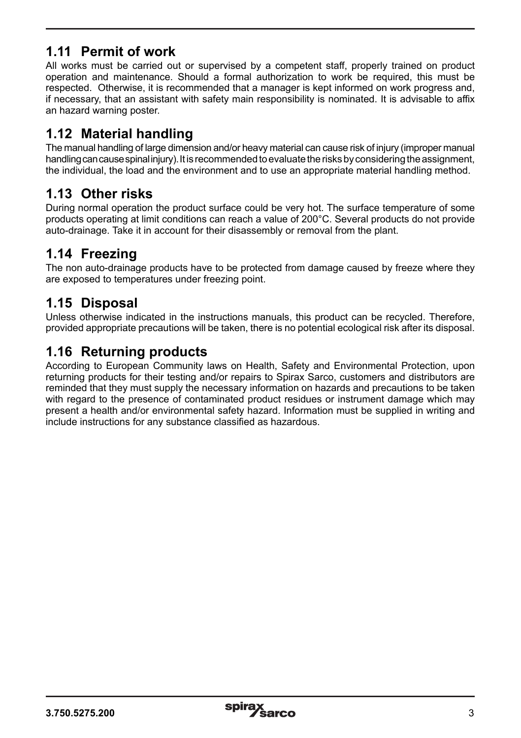### **1.11 Permit of work**

All works must be carried out or supervised by a competent staff, properly trained on product operation and maintenance. Should a formal authorization to work be required, this must be respected. Otherwise, it is recommended that a manager is kept informed on work progress and, if necessary, that an assistant with safety main responsibility is nominated. It is advisable to affix an hazard warning poster.

## **1.12 Material handling**

The manual handling of large dimension and/or heavy material can cause risk of injury (improper manual handling can cause spinal injury). It is recommended to evaluate the risks by considering the assignment, the individual, the load and the environment and to use an appropriate material handling method.

#### **1.13 Other risks**

During normal operation the product surface could be very hot. The surface temperature of some products operating at limit conditions can reach a value of 200°C. Several products do not provide auto-drainage. Take it in account for their disassembly or removal from the plant.

#### **1.14 Freezing**

The non auto-drainage products have to be protected from damage caused by freeze where they are exposed to temperatures under freezing point.

#### **1.15 Disposal**

Unless otherwise indicated in the instructions manuals, this product can be recycled. Therefore, provided appropriate precautions will be taken, there is no potential ecological risk after its disposal.

#### **1.16 Returning products**

According to European Community laws on Health, Safety and Environmental Protection, upon returning products for their testing and/or repairs to Spirax Sarco, customers and distributors are reminded that they must supply the necessary information on hazards and precautions to be taken with regard to the presence of contaminated product residues or instrument damage which may present a health and/or environmental safety hazard. Information must be supplied in writing and include instructions for any substance classified as hazardous.

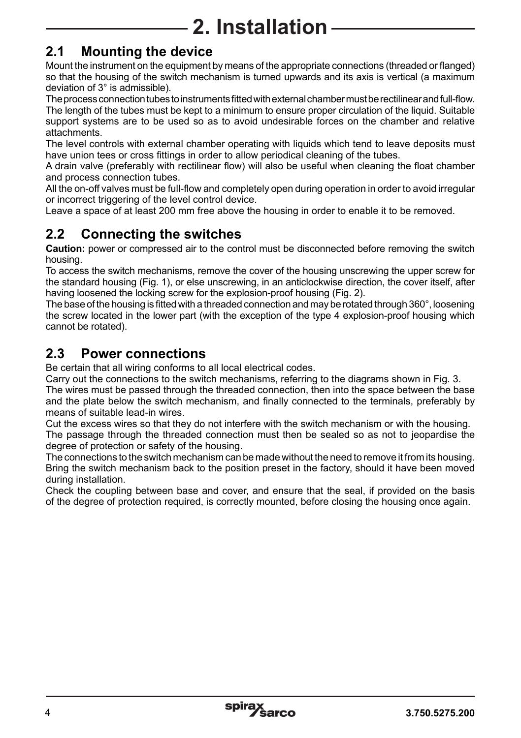# **2.1 Mounting the device**

Mount the instrument on the equipment by means of the appropriate connections (threaded or flanged) so that the housing of the switch mechanism is turned upwards and its axis is vertical (a maximum deviation of 3° is admissible).

Theprocessconnectiontubestoinstrumentsfittedwithexternalchambermustberectilinearandfull-flow. The length of the tubes must be kept to a minimum to ensure proper circulation of the liquid. Suitable support systems are to be used so as to avoid undesirable forces on the chamber and relative attachments.

The level controls with external chamber operating with liquids which tend to leave deposits must have union tees or cross fittings in order to allow periodical cleaning of the tubes.

A drain valve (preferably with rectilinear flow) will also be useful when cleaning the float chamber and process connection tubes.

All the on-off valves must be full-flow and completely open during operation in order to avoid irregular or incorrect triggering of the level control device.

Leave a space of at least 200 mm free above the housing in order to enable it to be removed.

## **2.2 Connecting the switches**

**Caution:** power or compressed air to the control must be disconnected before removing the switch housing.

To access the switch mechanisms, remove the cover of the housing unscrewing the upper screw for the standard housing (Fig. 1), or else unscrewing, in an anticlockwise direction, the cover itself, after having loosened the locking screw for the explosion-proof housing (Fig. 2).

The base of the housing is fitted with a threaded connection and may be rotated through 360°, loosening the screw located in the lower part (with the exception of the type 4 explosion-proof housing which cannot be rotated).

#### **2.3 Power connections**

Be certain that all wiring conforms to all local electrical codes.

Carry out the connections to the switch mechanisms, referring to the diagrams shown in Fig. 3.

The wires must be passed through the threaded connection, then into the space between the base and the plate below the switch mechanism, and finally connected to the terminals, preferably by means of suitable lead-in wires.

Cut the excess wires so that they do not interfere with the switch mechanism or with the housing. The passage through the threaded connection must then be sealed so as not to jeopardise the degree of protection or safety of the housing.

The connections to the switch mechanism can be made without the need to remove it from its housing. Bring the switch mechanism back to the position preset in the factory, should it have been moved during installation.

Check the coupling between base and cover, and ensure that the seal, if provided on the basis of the degree of protection required, is correctly mounted, before closing the housing once again.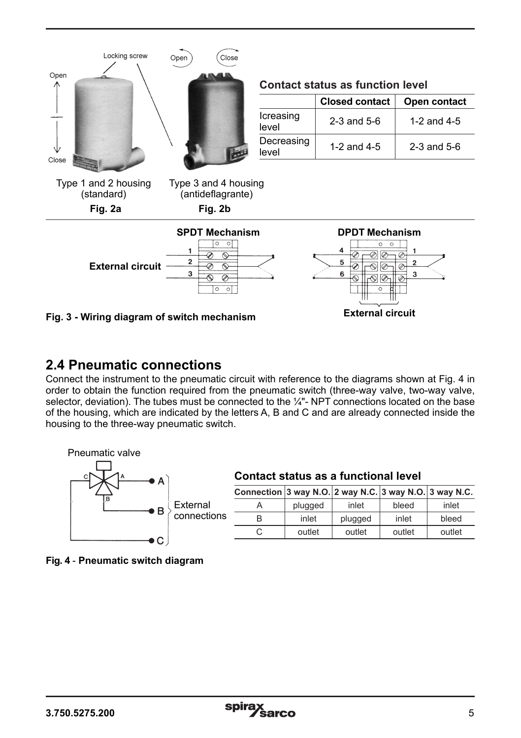

#### **2.4 Pneumatic connections**

Connect the instrument to the pneumatic circuit with reference to the diagrams shown at Fig. 4 in order to obtain the function required from the pneumatic switch (three-way valve, two-way valve, selector, deviation). The tubes must be connected to the 1/4"- NPT connections located on the base of the housing, which are indicated by the letters A, B and C and are already connected inside the housing to the three-way pneumatic switch.



| <b>Contact status as a functional level</b> |  |  |  |  |
|---------------------------------------------|--|--|--|--|
|---------------------------------------------|--|--|--|--|

| Connection 3 way N.O. 2 way N.C. 3 way N.O. 3 way N.C. |         |         |        |        |
|--------------------------------------------------------|---------|---------|--------|--------|
|                                                        | plugged | inlet   | bleed  | inlet  |
|                                                        | inlet   | plugged | inlet  | bleed  |
|                                                        | outlet  | outlet  | outlet | outlet |

**Fig. 4** - **Pneumatic switch diagram**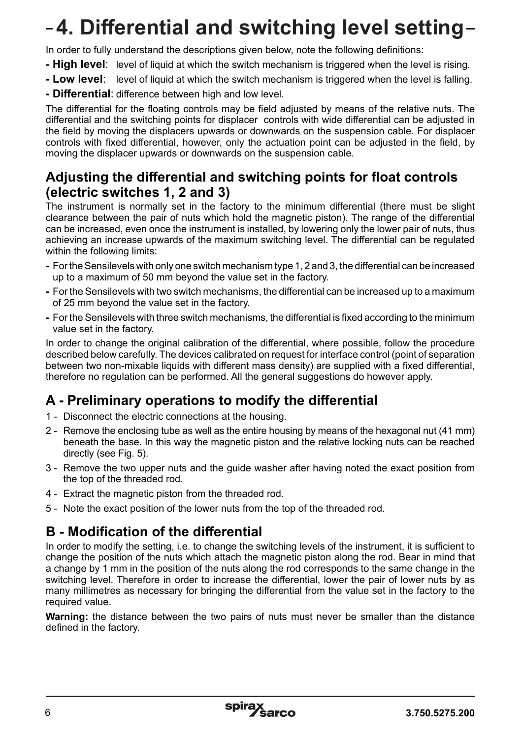# **4. Differential and switching level setting**

In order to fully understand the descriptions given below, note the following definitions:

- **High level:** level of liquid at which the switch mechanism is triggered when the level is rising.
- **Low level:** level of liquid at which the switch mechanism is triggered when the level is falling.
- Differential: difference between high and low level.

The differential for the floating controls may be field adjusted by means of the relative nuts. The differential and the switching points for displacer controls with wide differential can be adjusted in the field by moving the displacers upwards or downwards on the suspension cable. For displacer controls with fixed differential, however, only the actuation point can be adjusted in the field, by moving the displacer upwards or downwards on the suspension cable.

### **Adjusting the differential and switching points for float controls (electric switches 1, 2 and 3)**

The instrument is normally set in the factory to the minimum differential (there must be slight clearance between the pair of nuts which hold the magnetic piston). The range of the differential can be increased, even once the instrument is installed, by lowering only the lower pair of nuts, thus achieving an increase upwards of the maximum switching level. The differential can be regulated within the following limits:

- **-** FortheSensilevels with only one switch mechanism type 1, 2 and 3, the differential can be increased up to a maximum of 50 mm beyond the value set in the factory.
- **-** For the Sensilevels with two switch mechanisms, the differential can be increased up to a maximum of 25 mm beyond the value set in the factory.
- **-** For the Sensilevels with three switch mechanisms, the differential is fixed according to the minimum value set in the factory.

In order to change the original calibration of the differential, where possible, follow the procedure described below carefully. The devices calibrated on request for interface control (point of separation between two non-mixable liquids with different mass density) are supplied with a fixed differential, therefore no regulation can be performed. All the general suggestions do however apply.

# **A - Preliminary operations to modify the differential**

- 1 Disconnect the electric connections at the housing.
- 2 Remove the enclosing tube as well as the entire housing by means of the hexagonal nut  $(41 \text{ mm})$ beneath the base. In this way the magnetic piston and the relative locking nuts can be reached directly (see Fig. 5).
- 3 Remove the two upper nuts and the quide washer after having noted the exact position from the top of the threaded rod.
- 4 Extract the magnetic piston from the threaded rod.
- 5 - Note the exact position of the lower nuts from the top of the threaded rod.

# **B - Modification of the differential**

In order to modify the setting i.e. to change the switching levels of the instrument, it is sufficient to change the position of the nuts which attach the magnetic piston along the rod. Bear in mind that a change by 1 mm in the position of the nuts along the rod corresponds to the same change in the switching level. Therefore in order to increase the differential, lower the pair of lower nuts by as many millimetres as necessary for bringing the differential from the value set in the factory to the required value.

**Warning:** the distance between the two pairs of nuts must never be smaller than the distance defined in the factory.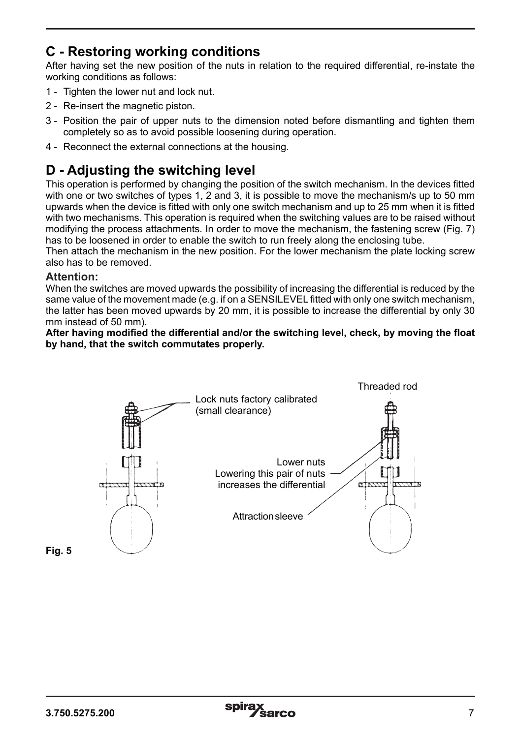### **C - Restoring working conditions**

After having set the new position of the nuts in relation to the required differential, re-instate the working conditions as follows:

- 1 Tighten the lower nut and lock nut.
- 2 Re-insert the magnetic piston.
- 3 Position the pair of upper nuts to the dimension noted before dismantling and tighten them completely so as to avoid possible loosening during operation.
- 4 Reconnect the external connections at the housing.

### **D - Adjusting the switching level**

This operation is performed by changing the position of the switch mechanism. In the devices fitted with one or two switches of types 1, 2 and 3, it is possible to move the mechanism/s up to 50 mm upwards when the device is fitted with only one switch mechanism and up to 25 mm when it is fitted with two mechanisms. This operation is required when the switching values are to be raised without modifying the process attachments. In order to move the mechanism, the fastening screw (Fig. 7) has to be loosened in order to enable the switch to run freely along the enclosing tube.

Then attach the mechanism in the new position. For the lower mechanism the plate locking screw also has to be removed.

#### **Attention:**

When the switches are moved upwards the possibility of increasing the differential is reduced by the same value of the movement made (e.g. if on a SENSILEVEL fitted with only one switch mechanism, the latter has been moved upwards by 20 mm, it is possible to increase the differential by only 30 mm instead of 50 mm).

**After having modified the differential and/or the switching level, check, by moving the float by hand, that the switch commutates properly.**



**Fig. 5**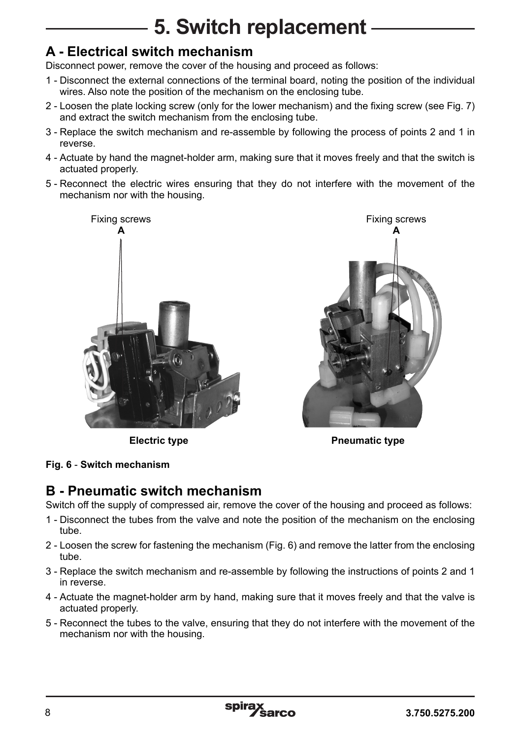# **5. Switch replacement**

## **A - Electrical switch mechanism**

Disconnect power, remove the cover of the housing and proceed as follows:

- 1 Disconnect the external connections of the terminal board, noting the position of the individual wires. Also note the position of the mechanism on the enclosing tube.
- 2 Loosen the plate locking screw (only for the lower mechanism) and the fixing screw (see Fig. 7) and extract the switch mechanism from the enclosing tube.
- 3 Replace the switch mechanism and re-assemble by following the process of points 2 and 1 in reverse.
- 4 Actuate by hand the magnet-holder arm, making sure that it moves freely and that the switch is actuated properly.
- 5 Reconnect the electric wires ensuring that they do not interfere with the movement of the mechanism nor with the housing.





**Electric type Pneumatic type** 

#### **Fig. 6** - **Switch mechanism**

#### **B - Pneumatic switch mechanism**

Switch off the supply of compressed air, remove the cover of the housing and proceed as follows:

- 1 Disconnect the tubes from the valve and note the position of the mechanism on the enclosing tube.
- 2 Loosen the screw for fastening the mechanism (Fig. 6) and remove the latter from the enclosing tube.
- 3 Replace the switch mechanism and re-assemble by following the instructions of points 2 and 1 in reverse.
- 4 Actuate the magnet-holder arm by hand, making sure that it moves freely and that the valve is actuated properly.
- 5 Reconnect the tubes to the valve, ensuring that they do not interfere with the movement of the mechanism nor with the housing.

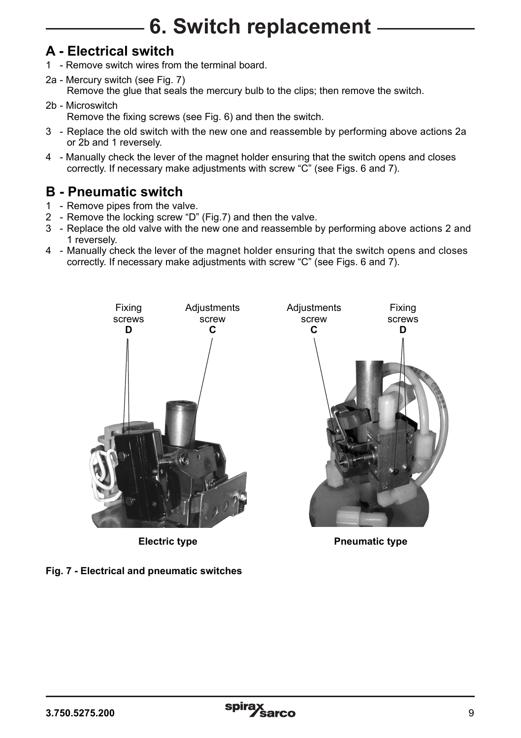# **6. Switch replacement**

# **A - Electrical switch**

- 1 Remove switch wires from the terminal board.
- 2a Mercury switch (see Fig. 7) Remove the glue that seals the mercury bulb to the clips; then remove the switch.
- 2b Microswitch Remove the fixing screws (see Fig. 6) and then the switch.
- 3 Replace the old switch with the new one and reassemble by performing above actions 2a or 2b and 1 reversely.
- 4 Manually check the lever of the magnet holder ensuring that the switch opens and closes correctly. If necessary make adjustments with screw "C" (see Figs. 6 and 7).

## **B - Pneumatic switch**

- 1 Remove pipes from the valve.
- 2 Remove the locking screw "D" (Fig.7) and then the valve.
- 3 Replace the old valve with the new one and reassemble by performing above actions 2 and 1 reversely.
- 4 Manually check the lever of the magnet holder ensuring that the switch opens and closes correctly. If necessary make adjustments with screw "C" (see Figs. 6 and 7).



**Fig. 7 - Electrical and pneumatic switches**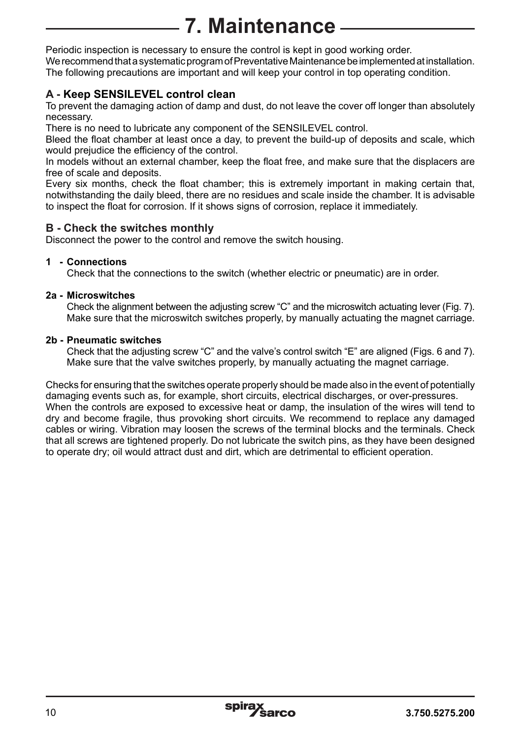# **7. Maintenance**

Periodic inspection is necessary to ensure the control is kept in good working order. We recommend that a systematic program of Preventative Maintenance be implemented at installation. The following precautions are important and will keep your control in top operating condition.

#### **A - Keep SENSILEVEL control clean**

To prevent the damaging action of damp and dust, do not leave the cover off longer than absolutely necessary.

There is no need to lubricate any component of the SENSILEVEL control.

Bleed the float chamber at least once a day, to prevent the build-up of deposits and scale, which would prejudice the efficiency of the control.

In models without an external chamber, keep the float free, and make sure that the displacers are free of scale and deposits.

Every six months, check the float chamber; this is extremely important in making certain that, notwithstanding the daily bleed, there are no residues and scale inside the chamber. It is advisable to inspect the float for corrosion. If it shows signs of corrosion, replace it immediately.

#### **B - Check the switches monthly**

Disconnect the power to the control and remove the switch housing.

#### **1 - Connections**

 Check that the connections to the switch (whether electric or pneumatic) are in order.

#### **2a - Microswitches**

 Check the alignment between the adjusting screw "C" and the microswitch actuating lever (Fig. 7). Make sure that the microswitch switches properly, by manually actuating the magnet carriage.

#### **2b - Pneumatic switches**

 Check that the adjusting screw "C" and the valve's control switch "E" are aligned (Figs. 6 and 7). Make sure that the valve switches properly, by manually actuating the magnet carriage.

Checks for ensuring that the switches operate properly should be made also in the event of potentially damaging events such as, for example, short circuits, electrical discharges, or over-pressures. When the controls are exposed to excessive heat or damp, the insulation of the wires will tend to dry and become fragile, thus provoking short circuits. We recommend to replace any damaged cables or wiring. Vibration may loosen the screws of the terminal blocks and the terminals. Check that all screws are tightened properly. Do not lubricate the switch pins, as they have been designed to operate dry; oil would attract dust and dirt, which are detrimental to efficient operation.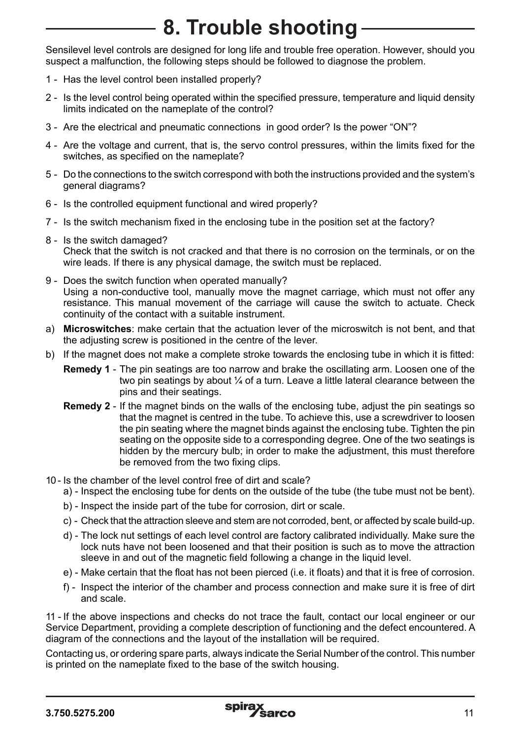# **8. Trouble shooting**

Sensilevel level controls are designed for long life and trouble free operation. However, should you suspect a malfunction, the following steps should be followed to diagnose the problem.

- 1 Has the level control been installed properly?
- 2 Is the level control being operated within the specified pressure, temperature and liquid density limits indicated on the nameplate of the control?
- 3 - Are the electrical and pneumatic connections in good order? Is the power "ON"?
- 4 Are the voltage and current, that is, the servo control pressures, within the limits fixed for the switches, as specified on the nameplate?
- 5 - Do the connections to the switch correspond with both the instructions provided and the system's general diagrams?
- 6 Is the controlled equipment functional and wired properly?
- 7 Is the switch mechanism fixed in the enclosing tube in the position set at the factory?
- 8 Is the switch damaged? Check that the switch is not cracked and that there is no corrosion on the terminals, or on the wire leads. If there is any physical damage, the switch must be replaced.
- 9 Does the switch function when operated manually? Using a non-conductive tool, manually move the magnet carriage, which must not offer any resistance. This manual movement of the carriage will cause the switch to actuate. Check continuity of the contact with a suitable instrument.
- a) **Microswitches**: make certain that the actuation lever of the microswitch is not bent, and that the adjusting screw is positioned in the centre of the lever.
- b) If the magnet does not make a complete stroke towards the enclosing tube in which it is fitted:
	- **Remedy 1** The pin seatings are too narrow and brake the oscillating arm. Loosen one of the two pin seatings by about ¼ of a turn. Leave a little lateral clearance between the pins and their seatings.
	- **Remedy 2** If the magnet binds on the walls of the enclosing tube, adjust the pin seatings so that the magnet is centred in the tube. To achieve this, use a screwdriver to loosen the pin seating where the magnet binds against the enclosing tube. Tighten the pin seating on the opposite side to a corresponding degree. One of the two seatings is hidden by the mercury bulb; in order to make the adjustment, this must therefore be removed from the two fixing clips.
- 10 Is the chamber of the level control free of dirt and scale?
	- a) Inspect the enclosing tube for dents on the outside of the tube (the tube must not be bent).
	- b) Inspect the inside part of the tube for corrosion, dirt or scale.
	- c) Check that the attraction sleeve and stem are not corroded, bent, or affected by scale build-up.
	- d) The lock nut settings of each level control are factory calibrated individually. Make sure the lock nuts have not been loosened and that their position is such as to move the attraction sleeve in and out of the magnetic field following a change in the liquid level.
	- e) Make certain that the float has not been pierced (i.e. it floats) and that it is free of corrosion.
	- $f$ ) Inspect the interior of the chamber and process connection and make sure it is free of dirt and scale.

11 - If the above inspections and checks do not trace the fault, contact our local engineer or our Service Department, providing a complete description of functioning and the defect encountered. A diagram of the connections and the layout of the installation will be required.

Contacting us, or ordering spare parts, always indicate the Serial Number of the control. This number is printed on the nameplate fixed to the base of the switch housing.